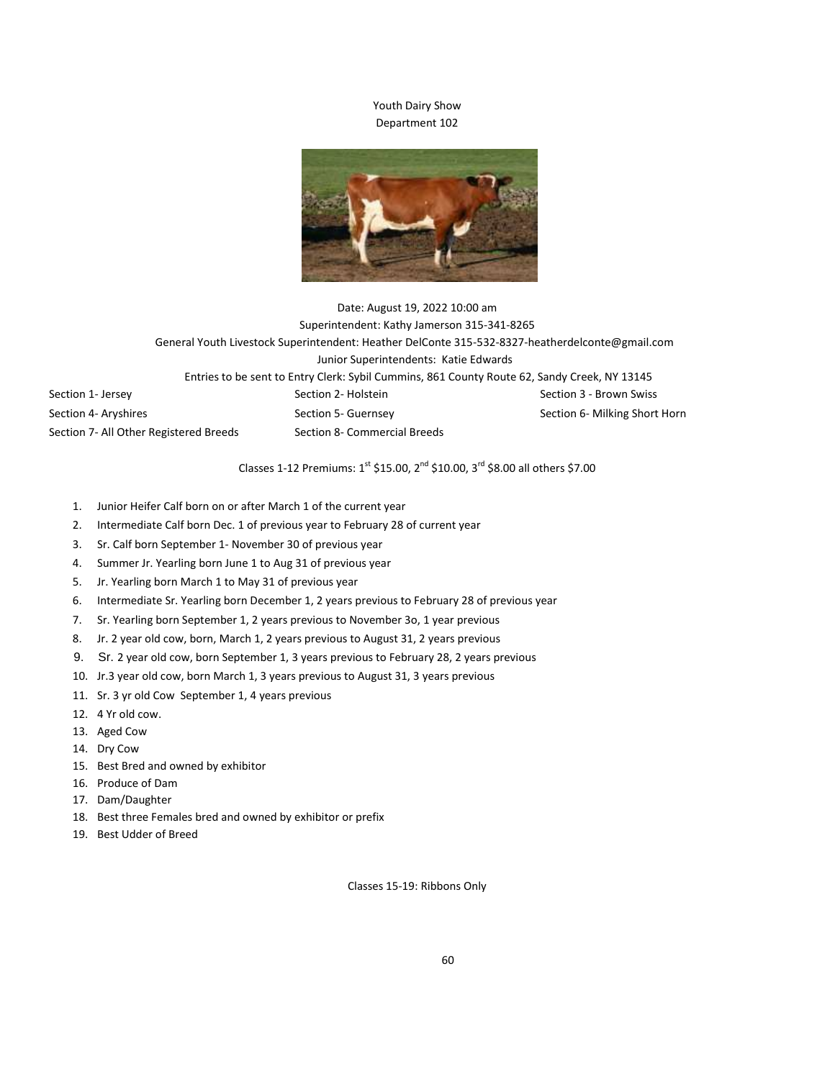## Youth Dairy Show Department 102



## Date: August 19, 2022 10:00 am Superintendent: Kathy Jamerson 315-341-8265 General Youth Livestock Superintendent: Heather DelConte 315-532-8327-heatherdelconte@gmail.com Junior Superintendents: Katie Edwards Entries to be sent to Entry Clerk: Sybil Cummins, 861 County Route 62, Sandy Creek, NY 13145 Section 1- Jersey Section 2- Holstein Section 2- Holstein Section 3 - Brown Swiss Section 4- Aryshires Section 5- Guernsey Section 5- Guernsey Section 6- Milking Short Horn Section 7- All Other Registered Breeds Section 8- Commercial Breeds

Classes 1-12 Premiums:  $1^{st}$  \$15.00,  $2^{nd}$  \$10.00,  $3^{rd}$  \$8.00 all others \$7.00

- 1. Junior Heifer Calf born on or after March 1 of the current year
- 2. Intermediate Calf born Dec. 1 of previous year to February 28 of current year
- 3. Sr. Calf born September 1- November 30 of previous year
- 4. Summer Jr. Yearling born June 1 to Aug 31 of previous year
- 5. Jr. Yearling born March 1 to May 31 of previous year
- 6. Intermediate Sr. Yearling born December 1, 2 years previous to February 28 of previous year
- 7. Sr. Yearling born September 1, 2 years previous to November 3o, 1 year previous
- 8. Jr. 2 year old cow, born, March 1, 2 years previous to August 31, 2 years previous
- 9. Sr. 2 year old cow, born September 1, 3 years previous to February 28, 2 years previous
- 10. Jr.3 year old cow, born March 1, 3 years previous to August 31, 3 years previous
- 11. Sr. 3 yr old Cow September 1, 4 years previous
- 12. 4 Yr old cow.
- 13. Aged Cow
- 14. Dry Cow
- 15. Best Bred and owned by exhibitor
- 16. Produce of Dam
- 17. Dam/Daughter
- 18. Best three Females bred and owned by exhibitor or prefix
- 19. Best Udder of Breed

Classes 15-19: Ribbons Only